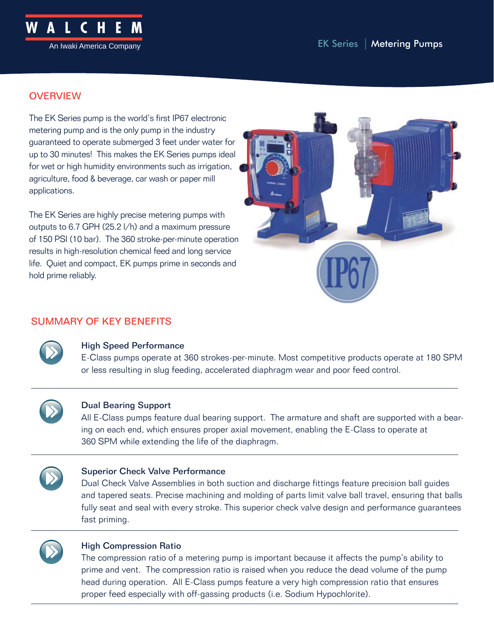

## **OVERVIEW**

The EK Series pump is the world's first IP67 electronic metering pump and is the only pump in the industry guaranteed to operate submerged 3 feet under water for up to 30 minutes! This makes the EK Series pumps ideal for wet or high humidity environments such as irrigation, agriculture, food & beverage, car wash or paper mill applications.

The EK Series are highly precise metering pumps with outputs to 6.7 GPH (25.2 l/h) and a maximum pressure of 150 PSI (10 bar). The 360 stroke-per-minute operation results in high-resolution chemical feed and long service life. Quiet and compact, EK pumps prime in seconds and hold prime reliably.



## SUMMARY OF KEY BENEFITS



### High Speed Performance

E-Class pumps operate at 360 strokes-per-minute. Most competitive products operate at 180 SPM or less resulting in slug feeding, accelerated diaphragm wear and poor feed control.



### Dual Bearing Support

All E-Class pumps feature dual bearing support. The armature and shaft are supported with a bearing on each end, which ensures proper axial movement, enabling the E-Class to operate at 360 SPM while extending the life of the diaphragm.



### Superior Check Valve Performance

Dual Check Valve Assemblies in both suction and discharge fittings feature precision ball guides and tapered seats. Precise machining and molding of parts limit valve ball travel, ensuring that balls fully seat and seal with every stroke. This superior check valve design and performance guarantees fast priming.



### High Compression Ratio

The compression ratio of a metering pump is important because it affects the pump's ability to prime and vent. The compression ratio is raised when you reduce the dead volume of the pump head during operation. All E-Class pumps feature a very high compression ratio that ensures proper feed especially with off-gassing products (i.e. Sodium Hypochlorite).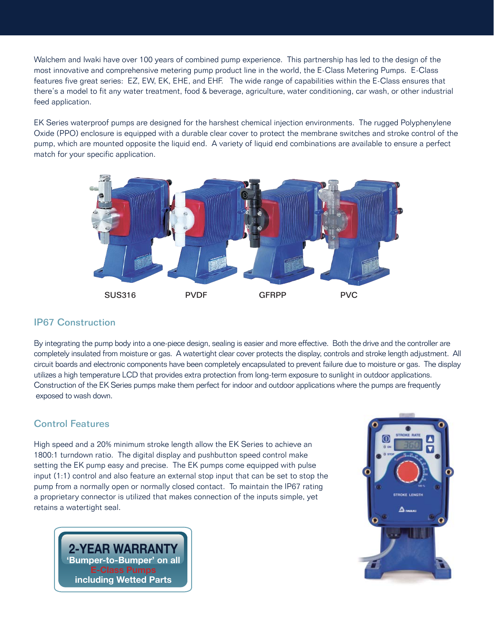Walchem and Iwaki have over 100 years of combined pump experience. This partnership has led to the design of the most innovative and comprehensive metering pump product line in the world, the E-Class Metering Pumps. E-Class features five great series: EZ, EW, EK, EHE, and EHF. The wide range of capabilities within the E-Class ensures that there's a model to fit any water treatment, food & beverage, agriculture, water conditioning, car wash, or other industrial feed application.

EK Series waterproof pumps are designed for the harshest chemical injection environments. The rugged Polyphenylene Oxide (PPO) enclosure is equipped with a durable clear cover to protect the membrane switches and stroke control of the pump, which are mounted opposite the liquid end. A variety of liquid end combinations are available to ensure a perfect match for your specific application.



### IP67 Construction

By integrating the pump body into a one-piece design, sealing is easier and more effective. Both the drive and the controller are completely insulated from moisture or gas. A watertight clear cover protects the display, controls and stroke length adjustment. All circuit boards and electronic components have been completely encapsulated to prevent failure due to moisture or gas. The display utilizes a high temperature LCD that provides extra protection from long-term exposure to sunlight in outdoor applications. Construction of the EK Series pumps make them perfect for indoor and outdoor applications where the pumps are frequently exposed to wash down.

### Control Features

High speed and a 20% minimum stroke length allow the EK Series to achieve an 1800:1 turndown ratio. The digital display and pushbutton speed control make setting the EK pump easy and precise. The EK pumps come equipped with pulse input (1:1) control and also feature an external stop input that can be set to stop the pump from a normally open or normally closed contact. To maintain the IP67 rating a proprietary connector is utilized that makes connection of the inputs simple, yet retains a watertight seal.



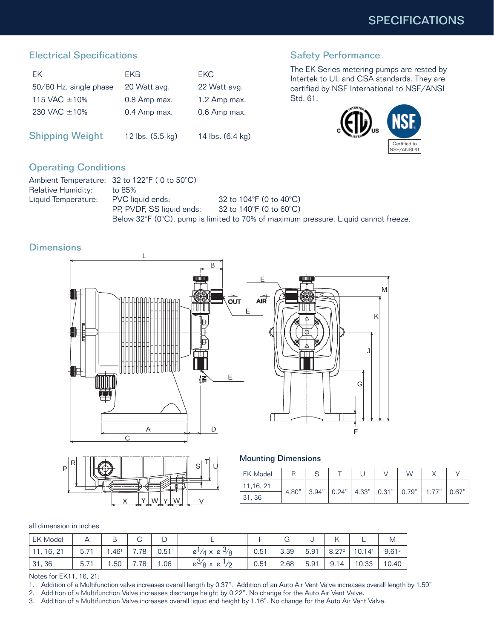# Electrical Specifications

| FK.                    | <b>FKB</b>       | <b>FKC</b>       |
|------------------------|------------------|------------------|
| 50/60 Hz, single phase | 20 Watt avg.     | 22 Watt avg.     |
| 115 VAC $\pm$ 10%      | 0.8 Amp max.     | 1.2 Amp max.     |
| 230 VAC ±10%           | 0.4 Amp max.     | 0.6 Amp max.     |
|                        |                  |                  |
| <b>Shipping Weight</b> | 12 lbs. (5.5 kg) | 14 lbs. (6.4 kg) |

## Safety Performance

The EK Series metering pumps are rested by Intertek to UL and CSA standards. They are certified by NSF International to NSF/ANSI Std. 61.



# Operating Conditions

|                     | Ambient Temperature: $32$ to $122^{\circ}F$ ( 0 to $50^{\circ}C$ ) |                                                                                     |
|---------------------|--------------------------------------------------------------------|-------------------------------------------------------------------------------------|
| Relative Humidity:  | to 85%                                                             |                                                                                     |
| Liquid Temperature: | PVC liquid ends:                                                   | 32 to 104 $\degree$ F (0 to 40 $\degree$ C)                                         |
|                     | PP. PVDF. SS liquid ends:                                          | 32 to 140°F (0 to 60°C).                                                            |
|                     |                                                                    | Below 32°F (0°C), pump is limited to 70% of maximum pressure. Liquid cannot freeze. |

## **Dimensions**





Mounting Dimensions

| <b>EK Model</b> |       |       |  | W                                                                     |       |
|-----------------|-------|-------|--|-----------------------------------------------------------------------|-------|
| 11,16, 21       |       |       |  |                                                                       |       |
| 31, 36          | 4.80" | 3.94" |  | $\vert$ 0.24" $\vert$ 4.33" $\vert$ 0.31" $\vert$ 0.79" $\vert$ 1.77" | 0.67" |

#### all dimension in inches

| <b>EK Model</b>           |                             | B                | ⌒<br>U | ◡    |                                                      |      | u    |      |                               |                    | M                 |
|---------------------------|-----------------------------|------------------|--------|------|------------------------------------------------------|------|------|------|-------------------------------|--------------------|-------------------|
| , 16, 2 <sup>1</sup><br>ے | E 74<br>$\mathsf{h}$<br>5.7 | .46 <sup>1</sup> | . .78  | 0.51 | $\varnothing'/4 \times \varnothing$<br>$\frac{9}{8}$ | 0.51 | 3.39 | 5.91 | $9.272$<br>$\cup$ . $\subset$ | 10.14 <sup>1</sup> | 9.61 <sup>3</sup> |
| 31,36                     | $\rightarrow$<br>5.1        | .50              | .78    | .06  | $\varnothing^{\vee}/\varnothing \times \varnothing$  | 0.51 | 2.68 | 5.91 | 9.1<br>14                     | 10.33              | 10.40             |

Notes for EK11, 16, 21:

1. Addition of a Multifunction valve increases overall length by 0.37". Addition of an Auto Air Vent Valve increases overall length by 1.59"

- 2. Addition of a Multifunction Valve increases discharge height by 0.22". No change for the Auto Air Vent Valve.<br>3. Addition of a Multifunction Valve increases overall liquid end height by 1.16". No change for the Auto Air
-